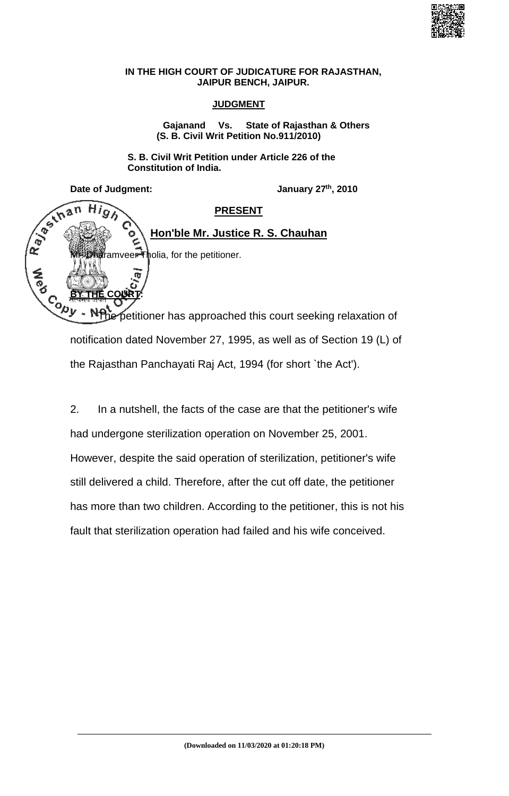

## **IN THE HIGH COURT OF JUDICATURE FOR RAJASTHAN, JAIPUR BENCH, JAIPUR.**

## **JUDGMENT**

**Gajanand Vs. State of Rajasthan & Others (S. B. Civil Writ Petition No.911/2010)**

**S. B. Civil Writ Petition under Article 226 of the Constitution of India.**

Date of Judgment: January 27<sup>th</sup>, 2010

 $Hig$ 

an

Rayan

**A**<br>Pa

**BY THE COURT:**

## **PRESENT**

## **Hon'ble Mr. Justice R. S. Chauhan**

framveer Tholia, for the petitioner.

petitioner has approached this court seeking relaxation of notification dated November 27, 1995, as well as of Section 19 (L) of the Rajasthan Panchayati Raj Act, 1994 (for short `the Act').

2. In a nutshell, the facts of the case are that the petitioner's wife had undergone sterilization operation on November 25, 2001. However, despite the said operation of sterilization, petitioner's wife still delivered a child. Therefore, after the cut off date, the petitioner has more than two children. According to the petitioner, this is not his fault that sterilization operation had failed and his wife conceived.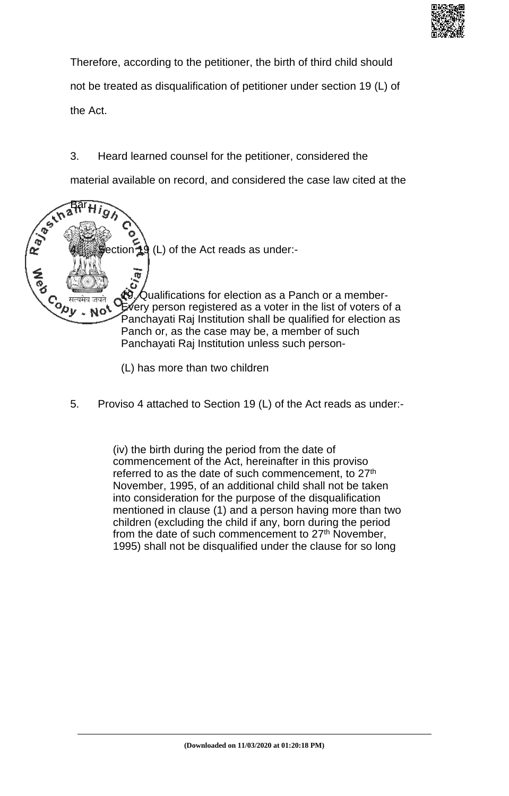

Therefore, according to the petitioner, the birth of third child should not be treated as disqualification of petitioner under section 19 (L) of the Act.

3. Heard learned counsel for the petitioner, considered the

material available on record, and considered the case law cited at the



(L) has more than two children

5. Proviso 4 attached to Section 19 (L) of the Act reads as under:-

(iv) the birth during the period from the date of commencement of the Act, hereinafter in this proviso referred to as the date of such commencement, to 27<sup>th</sup> November, 1995, of an additional child shall not be taken into consideration for the purpose of the disqualification mentioned in clause (1) and a person having more than two children (excluding the child if any, born during the period from the date of such commencement to 27<sup>th</sup> November, 1995) shall not be disqualified under the clause for so long